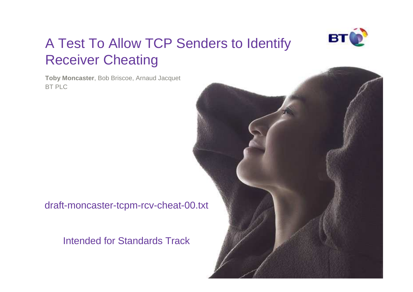

# A Test To Allow TCP Senders to Identify Receiver Cheating

**Toby Moncaster**, Bob Briscoe, Arnaud JacquetBT PLC

draft-moncaster-tcpm-rcv-cheat-00.txt

Intended for Standards Track

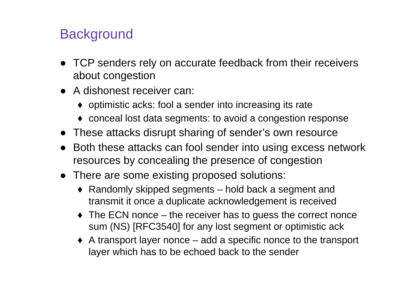## **Background**

- TCP senders rely on accurate feedback from their receivers about congestion
- A dishonest receiver can:
	- ♦ optimistic acks: fool a sender into increasing its rate
	- ♦ conceal lost data segments: to avoid a congestion response
- These attacks disrupt sharing of sender's own resource
- Both these attacks can fool sender into using excess network resources by concealing the presence of congestion
- There are some existing proposed solutions:
	- ♦ Randomly skipped segments hold back a segment and transmit it once a duplicate acknowledgement is received
	- The ECN nonce the receiver has to guess the correct nonce sum (NS) [RFC3540] for any lost segment or optimistic ack
	- ♦ A transport layer nonce add a specific nonce to the transport layer which has to be echoed back to the sender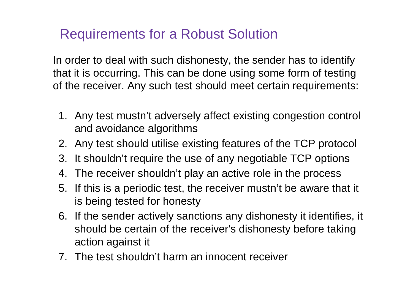## Requirements for a Robust Solution

In order to deal with such dishonesty, the sender has to identify that it is occurring. This can be done using some form of testing of the receiver. Any such test should meet certain requirements:

- 1. Any test mustn't adversely affect existing congestion control and avoidance algorithms
- 2. Any test should utilise existing features of the TCP protocol
- 3. It shouldn't require the use of any negotiable TCP options
- 4. The receiver shouldn't play an active role in the process
- 5. If this is a periodic test, the receiver mustn't be aware that it is being tested for honesty
- 6. If the sender actively sanctions any dishonesty it identifies, it should be certain of the receiver's dishonesty before taking action against it
- 7. The test shouldn't harm an innocent receiver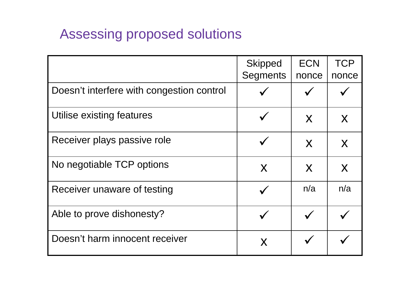## Assessing proposed solutions

|                                           | <b>Skipped</b>  | <b>ECN</b> | <b>TCP</b> |
|-------------------------------------------|-----------------|------------|------------|
|                                           | <b>Segments</b> | nonce      | nonce      |
| Doesn't interfere with congestion control |                 |            |            |
| Utilise existing features                 |                 | X          | X          |
| Receiver plays passive role               |                 | X          | X          |
| No negotiable TCP options                 | X               | X          | X          |
| Receiver unaware of testing               |                 | n/a        | n/a        |
| Able to prove dishonesty?                 |                 |            |            |
| Doesn't harm innocent receiver            | X               |            |            |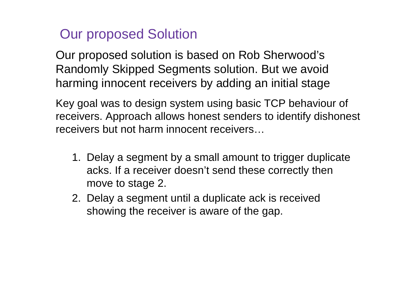## Our proposed Solution

Our proposed solution is based on Rob Sherwood's Randomly Skipped Segments solution. But we avoid harming innocent receivers by adding an initial stage

Key goal was to design system using basic TCP behaviour of receivers. Approach allows honest senders to identify dishonest receivers but not harm innocent receivers…

- 1. Delay a segment by a small amount to trigger duplicate acks. If a receiver doesn't send these correctly then move to stage 2.
- 2. Delay a segment until a duplicate ack is receivedshowing the receiver is aware of the gap.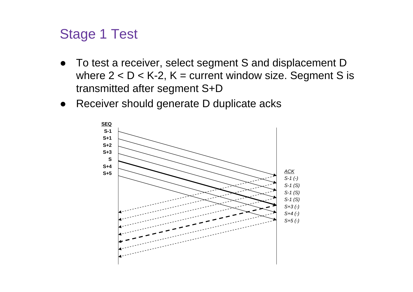#### Stage 1 Test

- To test a receiver, select segment S and displacement D where  $2 < D < K-2$ ,  $K =$  current window size. Segment S is transmitted after segment S+D
- Receiver should generate D duplicate acks

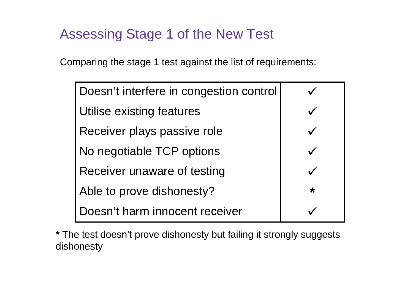#### Assessing Stage 1 of the New Test

Comparing the stage 1 test against the list of requirements:

| Doesn't interfere in congestion control |         |
|-----------------------------------------|---------|
| Utilise existing features               |         |
| Receiver plays passive role             |         |
| No negotiable TCP options               |         |
| Receiver unaware of testing             |         |
| Able to prove dishonesty?               | $\star$ |
| Doesn't harm innocent receiver          |         |

**\*** The test doesn't prove dishonesty but failing it strongly suggests dishonesty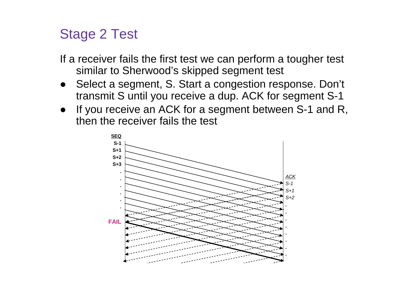#### Stage 2 Test

If a receiver fails the first test we can perform a tougher testsimilar to Sherwood's skipped segment test

- ● Select a segment, S. Start a congestion response. Don't transmit S until you receive a dup. ACK for segment S-1
- If you receive an ACK for a segment between S-1 and R, ●then the receiver fails the test

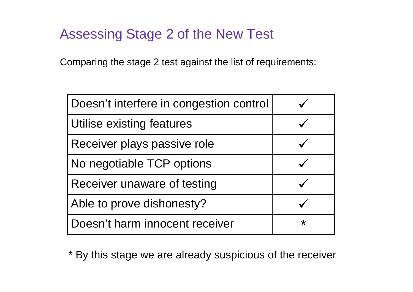#### Assessing Stage 2 of the New Test

Comparing the stage 2 test against the list of requirements:

| Doesn't interfere in congestion control |         |
|-----------------------------------------|---------|
| Utilise existing features               |         |
| Receiver plays passive role             |         |
| No negotiable TCP options               |         |
| Receiver unaware of testing             |         |
| Able to prove dishonesty?               |         |
| Doesn't harm innocent receiver          | $\star$ |

\* By this stage we are already suspicious of the receiver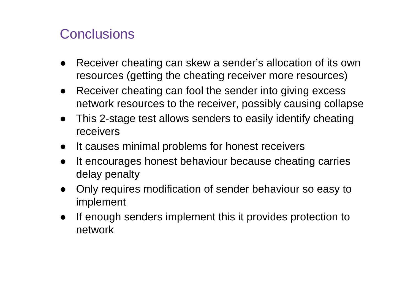#### **Conclusions**

- ● Receiver cheating can skew a sender's allocation of its own resources (getting the cheating receiver more resources)
- ● Receiver cheating can fool the sender into giving excess network resources to the receiver, possibly causing collapse
- This 2-stage test allows senders to easily identify cheating receivers
- ●It causes minimal problems for honest receivers
- ● It encourages honest behaviour because cheating carries delay penalty
- ● Only requires modification of sender behaviour so easy to implement
- ● If enough senders implement this it provides protection to network